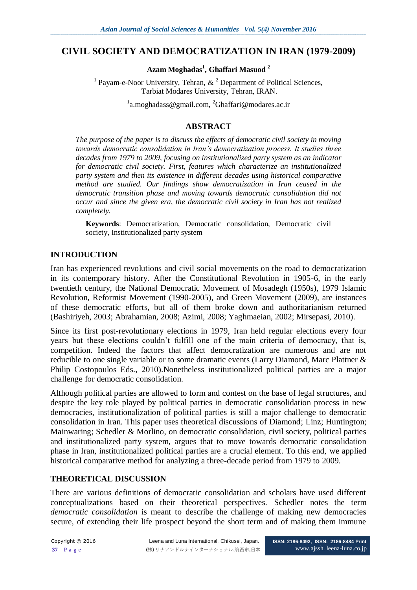# **CIVIL SOCIETY AND DEMOCRATIZATION IN IRAN (1979-2009)**

**Azam Moghadas<sup>1</sup> , Ghaffari Masuod <sup>2</sup>**

<sup>1</sup> Payam-e-Noor University, Tehran,  $\&$  <sup>2</sup> Department of Political Sciences, Tarbiat Modares University, Tehran, IRAN.

<sup>1</sup>[a.moghadass@gmail.com,](mailto:a.moghadass@gmail.com) <sup>2</sup>[Ghaffari@modares.ac.ir](mailto:Ghaffari@modares.ac.ir)

#### **ABSTRACT**

*The purpose of the paper is to discuss the effects of democratic civil society in moving towards democratic consolidation in Iran's democratization process. It studies three decades from 1979 to 2009, focusing on institutionalized party system as an indicator for democratic civil society. First, features which characterize an institutionalized party system and then its existence in different decades using historical comparative method are studied. Our findings show democratization in Iran ceased in the democratic transition phase and moving towards democratic consolidation did not occur and since the given era, the democratic civil society in Iran has not realized completely.*

**Keywords**: Democratization, Democratic consolidation, Democratic civil society, Institutionalized party system

#### **INTRODUCTION**

Iran has experienced revolutions and civil social movements on the road to democratization in its contemporary history. After the Constitutional Revolution in 1905-6, in the early twentieth century, the National Democratic Movement of Mosadegh (1950s), 1979 Islamic Revolution, Reformist Movement (1990-2005), and Green Movement (2009), are instances of these democratic efforts, but all of them broke down and authoritarianism returned (Bashiriyeh, 2003; Abrahamian, 2008; Azimi, 2008; Yaghmaeian, 2002; Mirsepasi, 2010).

Since its first post-revolutionary elections in 1979, Iran held regular elections every four years but these elections couldn't fulfill one of the main criteria of democracy, that is, competition. Indeed the factors that affect democratization are numerous and are not reducible to one single variable or to some dramatic events (Larry Diamond, Marc Plattner & Philip Costopoulos Eds., 2010).Nonetheless institutionalized political parties are a major challenge for democratic consolidation.

Although political parties are allowed to form and contest on the base of legal structures, and despite the key role played by political parties in democratic consolidation process in new democracies, institutionalization of political parties is still a major challenge to democratic consolidation in Iran. This paper uses theoretical discussions of Diamond; Linz; Huntington; Mainwaring; Schedler & Morlino, on democratic consolidation, civil society, political parties and institutionalized party system, argues that to move towards democratic consolidation phase in Iran, institutionalized political parties are a crucial element. To this end, we applied historical comparative method for analyzing a three-decade period from 1979 to 2009.

# **THEORETICAL DISCUSSION**

There are various definitions of democratic consolidation and scholars have used different conceptualizations based on their theoretical perspectives. [Schedler](http://muse.jhu.edu/results?searchtype=regular&filtered_content=author&search_term=%22Andreas%20Schedler%22) notes the term *democratic consolidation* is meant to describe the challenge of making new democracies secure, of extending their life prospect beyond the short term and of making them immune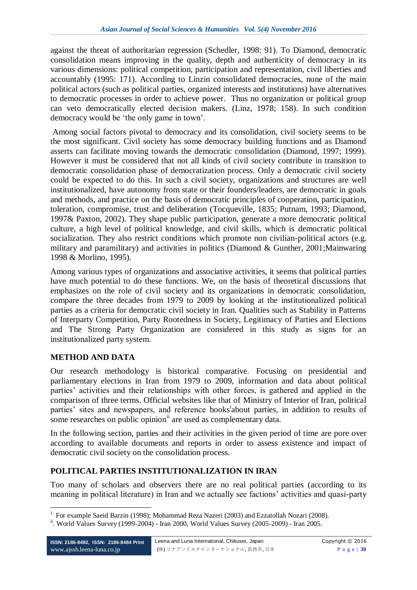against the threat of authoritarian regression [\(Schedler,](http://muse.jhu.edu/results?searchtype=regular&filtered_content=author&search_term=%22Andreas%20Schedler%22) 1998: 91). To Diamond, democratic consolidation means improving in the quality, depth and authenticity of democracy in its various dimensions: political competition, participation and representation, civil liberties and accountably (1995: 171). According to Linzin consolidated democracies, none of the main political actors (such as political parties, organized interests and institutions) have alternatives to democratic processes in order to achieve power. Thus no organization or political group can veto democratically elected decision makers. (Linz, 1978; 158). In such condition democracy would be 'the only game in town'.

Among social factors pivotal to democracy and its consolidation, civil society seems to be the most significant. Civil society has some democracy building functions and as Diamond asserts can facilitate moving towards the democratic consolidation (Diamond, 1997; 1999). However it must be considered that not all kinds of civil society contribute in transition to democratic consolidation phase of democratization process. Only a democratic civil society could be expected to do this. In such a civil society, organizations and structures are well institutionalized, have autonomy from state or their founders/leaders, are democratic in goals and methods, and practice on the basis of democratic principles of cooperation, participation, toleration, compromise, trust and deliberation (Tocqueville, 1835; Putnam, 1993; Diamond, 1997& Paxton, 2002). They shape public participation, generate a more democratic political culture, a high level of political knowledge, and civil skills, which is democratic political socialization. They also restrict conditions which promote non civilian-political actors (e.g. military and paramilitary) and activities in politics (Diamond & Gunther, 2001;Mainwaring 1998 & Morlino, 1995).

Among various types of organizations and associative activities, it seems that political parties have much potential to do these functions. We, on the basis of theoretical discussions that emphasizes on the role of civil society and its organizations in democratic consolidation, compare the three decades from 1979 to 2009 by looking at the institutionalized political parties as a criteria for democratic civil society in Iran. Qualities such as Stability in Patterns of Interparty Competition, Party Rootedness in Society, Legitimacy of Parties and Elections and The Strong Party Organization are considered in this study as signs for an institutionalized party system.

# **METHOD AND DATA**

Our research methodology is historical comparative. Focusing on presidential and parliamentary elections in Iran from 1979 to 2009, information and data about political parties' activities and their relationships with other forces, is gathered and applied in the comparison of three terms. Official websites like that of Ministry of Interior of Iran, political parties' sites and newspapers, and reference books about parties, in addition to results of some researches on public opinion<sup>ii</sup> are used as complementary data.

In the following section, parties and their activities in the given period of time are pore over according to available documents and reports in order to assess existence and impact of democratic civil society on the consolidation process.

# **POLITICAL PARTIES INSTITUTIONALIZATION IN IRAN**

Too many of scholars and observers there are no real political parties (according to its meaning in political literature) in Iran and we actually see factions' activities and quasi-party

<sup>&</sup>lt;u>.</u> <sup>1.</sup> For example Saeid Barzin (1998); Mohammad Reza Nazeri (2003) and Ezzatollah Nozari (2008).

ii. World Values Survey (1999-2004) - Iran 2000, World Values Survey (2005-2009) - Iran 2005.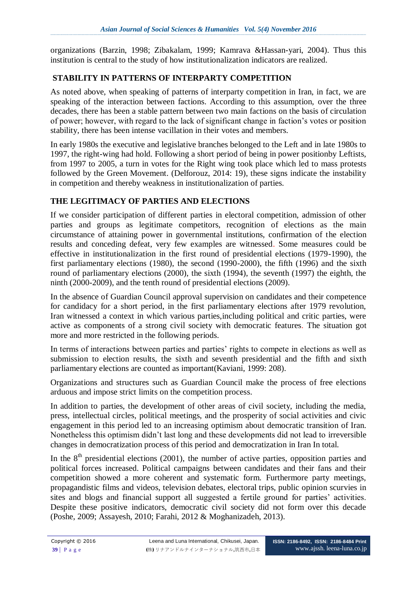organizations (Barzin, 1998; Zibakalam, 1999; Kamrava &Hassan-yari, 2004). Thus this institution is central to the study of how institutionalization indicators are realized.

### **STABILITY IN PATTERNS OF INTERPARTY COMPETITION**

As noted above, when speaking of patterns of interparty competition in Iran, in fact, we are speaking of the interaction between factions. According to this assumption, over the three decades, there has been a stable pattern between two main factions on the basis of circulation of power; however, with regard to the lack of significant change in faction's votes or position stability, there has been intense vacillation in their votes and members.

In early 1980s the executive and legislative branches belonged to the Left and in late 1980s to 1997, the right-wing had hold. Following a short period of being in power positionby Leftists, from 1997 to 2005, a turn in votes for the Right wing took place which led to mass protests followed by the Green Movement. (Delforouz, 2014: 19), these signs indicate the instability in competition and thereby weakness in institutionalization of parties.

#### **THE LEGITIMACY OF PARTIES AND ELECTIONS**

If we consider participation of different parties in electoral competition, admission of other parties and groups as legitimate competitors, recognition of elections as the main circumstance of attaining power in governmental institutions, confirmation of the election results and conceding defeat, very few examples are witnessed. Some measures could be effective in institutionalization in the first round of presidential elections (1979-1990), the first parliamentary elections (1980), the second (1990-2000), the fifth (1996) and the sixth round of parliamentary elections (2000), the sixth (1994), the seventh (1997) the eighth, the ninth (2000-2009), and the tenth round of presidential elections (2009).

In the absence of Guardian Council approval supervision on candidates and their competence for candidacy for a short period, in the first parliamentary elections after 1979 revolution, Iran witnessed a context in which various parties,including political and critic parties, were active as components of a strong civil society with democratic features. The situation got more and more restricted in the following periods.

In terms of interactions between parties and parties' rights to compete in elections as well as submission to election results, the sixth and seventh presidential and the fifth and sixth parliamentary elections are counted as important(Kaviani, 1999: 208).

Organizations and structures such as Guardian Council make the process of free elections arduous and impose strict limits on the competition process.

In addition to parties, the development of other areas of civil society, including the media, press, intellectual circles, political meetings, and the prosperity of social activities and civic engagement in this period led to an increasing optimism about democratic transition of Iran. Nonetheless this optimism didn't last long and these developments did not lead to irreversible changes in democratization process of this period and democratization in Iran In total.

In the  $8<sup>th</sup>$  presidential elections (2001), the number of active parties, opposition parties and political forces increased. Political campaigns between candidates and their fans and their competition showed a more coherent and systematic form. Furthermore party meetings, propagandistic films and videos, television debates, electoral trips, public opinion scurvies in sites and blogs and financial support all suggested a fertile ground for parties' activities. Despite these positive indicators, democratic civil society did not form over this decade (Poshe, 2009; Assayesh, 2010; Farahi, 2012 & Moghanizadeh, 2013).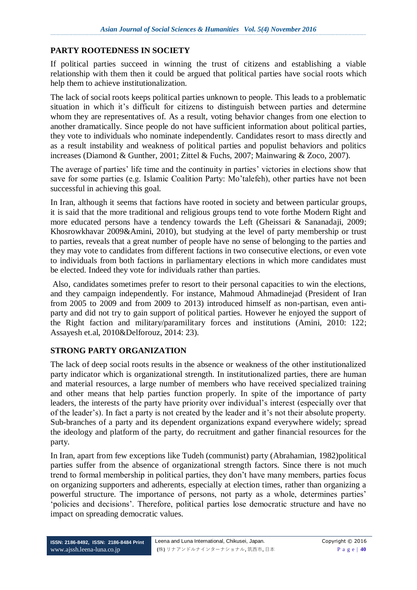#### **PARTY ROOTEDNESS IN SOCIETY**

If political parties succeed in winning the trust of citizens and establishing a viable relationship with them then it could be argued that political parties have social roots which help them to achieve institutionalization.

The lack of social roots keeps political parties unknown to people. This leads to a problematic situation in which it's difficult for citizens to distinguish between parties and determine whom they are representatives of. As a result, voting behavior changes from one election to another dramatically. Since people do not have sufficient information about political parties, they vote to individuals who nominate independently. Candidates resort to mass directly and as a result instability and weakness of political parties and populist behaviors and politics increases (Diamond & Gunther, 2001; Zittel & Fuchs, 2007; Mainwaring & Zoco, 2007).

The average of parties' life time and the continuity in parties' victories in elections show that save for some parties (e.g. Islamic Coalition Party: Mo'talefeh), other parties have not been successful in achieving this goal.

In Iran, although it seems that factions have rooted in society and between particular groups, it is said that the more traditional and religious groups tend to vote forthe Modern Right and more educated persons have a tendency towards the Left (Gheissari & Sananadaji, 2009; Khosrowkhavar 2009&Amini, 2010), but studying at the level of party membership or trust to parties, reveals that a great number of people have no sense of belonging to the parties and they may vote to candidates from different factions in two consecutive elections, or even vote to individuals from both factions in parliamentary elections in which more candidates must be elected. Indeed they vote for individuals rather than parties.

Also, candidates sometimes prefer to resort to their personal capacities to win the elections, and they campaign independently. For instance, Mahmoud Ahmadinejad (President of Iran from 2005 to 2009 and from 2009 to 2013) introduced himself as non-partisan, even antiparty and did not try to gain support of political parties. However he enjoyed the support of the Right faction and military/paramilitary forces and institutions (Amini, 2010: 122; Assayesh et.al, 2010&Delforouz, 2014: 23).

#### **STRONG PARTY ORGANIZATION**

The lack of deep social roots results in the absence or weakness of the other institutionalized party indicator which is organizational strength. In institutionalized parties, there are human and material resources, a large number of members who have received specialized training and other means that help parties function properly. In spite of the importance of party leaders, the interests of the party have priority over individual's interest (especially over that of the leader's). In fact a party is not created by the leader and it's not their absolute property. Sub-branches of a party and its dependent organizations expand everywhere widely; spread the ideology and platform of the party, do recruitment and gather financial resources for the party.

In Iran, apart from few exceptions like Tudeh (communist) party (Abrahamian, 1982)political parties suffer from the absence of organizational strength factors. Since there is not much trend to formal membership in political parties, they don't have many members, parties focus on organizing supporters and adherents, especially at election times, rather than organizing a powerful structure. The importance of persons, not party as a whole, determines parties' 'policies and decisions'. Therefore, political parties lose democratic structure and have no impact on spreading democratic values.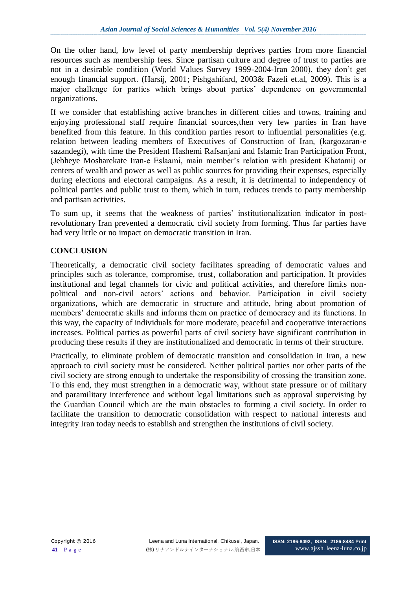On the other hand, low level of party membership deprives parties from more financial resources such as membership fees. Since partisan culture and degree of trust to parties are not in a desirable condition (World Values Survey 1999-2004-Iran 2000), they don't get enough financial support. (Harsij, 2001; Pishgahifard, 2003& Fazeli et.al, 2009). This is a major challenge for parties which brings about parties' dependence on governmental organizations.

If we consider that establishing active branches in different cities and towns, training and enjoying professional staff require financial sources,then very few parties in Iran have benefited from this feature. In this condition parties resort to influential personalities (e.g. relation between leading members of Executives of Construction of Iran, (kargozaran-e sazandegi), with time the President Hashemi Rafsanjani and Islamic Iran Participation Front, (Jebheye Mosharekate Iran-e Eslaami, main member's relation with president Khatami) or centers of wealth and power as well as public sources for providing their expenses, especially during elections and electoral campaigns. As a result, it is detrimental to independency of political parties and public trust to them, which in turn, reduces trends to party membership and partisan activities.

To sum up, it seems that the weakness of parties' institutionalization indicator in postrevolutionary Iran prevented a democratic civil society from forming. Thus far parties have had very little or no impact on democratic transition in Iran.

# **CONCLUSION**

Theoretically, a democratic civil society facilitates spreading of democratic values and principles such as tolerance, compromise, trust, collaboration and participation. It provides institutional and legal channels for civic and political activities, and therefore limits nonpolitical and non-civil actors' actions and behavior. Participation in civil society organizations, which are democratic in structure and attitude, bring about promotion of members' democratic skills and informs them on practice of democracy and its functions. In this way, the capacity of individuals for more moderate, peaceful and cooperative interactions increases. Political parties as powerful parts of civil society have significant contribution in producing these results if they are institutionalized and democratic in terms of their structure.

Practically, to eliminate problem of democratic transition and consolidation in Iran, a new approach to civil society must be considered. Neither political parties nor other parts of the civil society are strong enough to undertake the responsibility of crossing the transition zone. To this end, they must strengthen in a democratic way, without state pressure or of military and paramilitary interference and without legal limitations such as approval supervising by the Guardian Council which are the main obstacles to forming a civil society. In order to facilitate the transition to democratic consolidation with respect to national interests and integrity Iran today needs to establish and strengthen the institutions of civil society.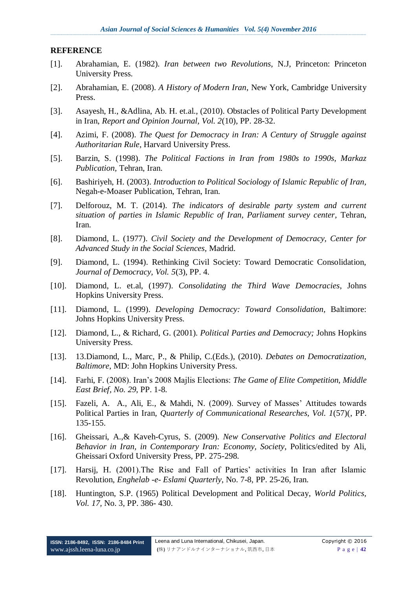#### **REFERENCE**

- [1]. Abrahamian, E. (1982). *Iran between two Revolutions,* N.J, Princeton: Princeton University Press.
- [2]. Abrahamian, E. (2008). *A History of Modern Iran*, New York, Cambridge University Press.
- [3]. Asayesh, H., &Adlina, Ab. H. et.al., (2010). Obstacles of Political Party Development in Iran, *Report and Opinion Journal, Vol. 2*(10), PP. 28-32.
- [4]. Azimi, F. (2008). *The Quest for Democracy in Iran: A Century of Struggle against Authoritarian Rule*, Harvard University Press.
- [5]. Barzin, S. (1998). *The Political Factions in Iran from 1980s to 1990s, Markaz Publication,* Tehran, Iran.
- [6]. Bashiriyeh, H. (2003). *Introduction to Political Sociology of Islamic Republic of Iran,* Negah-e-Moaser Publication, Tehran, Iran.
- [7]. Delforouz, M. T. (2014). *The indicators of desirable party system and current situation of parties in Islamic Republic of Iran, Parliament survey center*, Tehran, Iran.
- [8]. Diamond, L. (1977). *Civil Society and the Development of Democracy, Center for Advanced Study in the Social Sciences,* Madrid.
- [9]. Diamond, L. (1994). Rethinking Civil Society: Toward Democratic Consolidation, *Journal of Democracy, Vol. 5*(3), PP. 4.
- [10]. Diamond, L. et.al, (1997). *Consolidating the Third Wave Democracies*, Johns Hopkins University Press.
- [11]. Diamond, L. (1999). *Developing Democracy: Toward Consolidation,* Baltimore: Johns Hopkins University Press.
- [12]. Diamond, L., & Richard, G. (2001). *Political Parties and Democracy;* Johns Hopkins University Press.
- [13]. 13.Diamond, L., Marc, P., & Philip, C.(Eds.), (2010). *Debates on Democratization, Baltimore*, MD: John Hopkins University Press.
- [14]. Farhi, F. (2008). Iran's 2008 Majlis Elections: *The Game of Elite Competition, Middle East Brief, No. 29*, PP. 1-8.
- [15]. Fazeli, A. A., Ali, E., & Mahdi, N. (2009). Survey of Masses' Attitudes towards Political Parties in Iran, *Quarterly of Communicational Researches, Vol. 1*(57)(, PP. 135-155.
- [16]. Gheissari, A.,& Kaveh-Cyrus, S. (2009). *New Conservative Politics and Electoral Behavior in Iran, in Contemporary Iran: Economy, Society*, Politics/edited by Ali, Gheissari Oxford University Press, PP. 275-298.
- [17]. Harsij, H. (2001).The Rise and Fall of Parties' activities In Iran after Islamic Revolution, *Enghelab -e- Eslami Quarterly*, No. 7-8, PP. 25-26, Iran.
- [18]. Huntington, S.P. (1965) Political Development and Political Decay, *World Politics, Vol. 17,* No. 3, PP. 386- 430.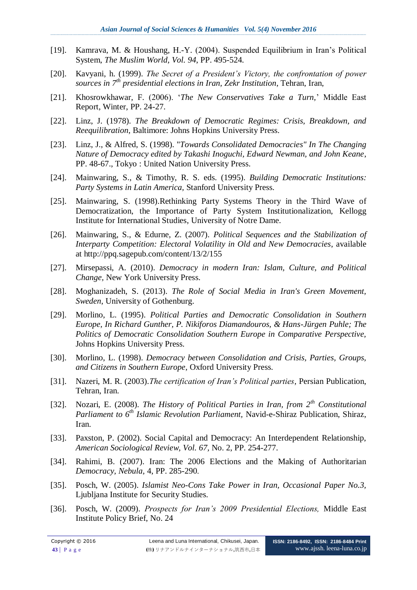- [19]. Kamrava, M. & Houshang, H.-Y. (2004). Suspended Equilibrium in Iran's Political System, *The Muslim World, Vol. 94*, PP. 495-524.
- [20]. Kavyani, h. (1999). *The Secret of a President's Victory, the confrontation of power sources in 7th presidential elections in Iran, Zekr Institution*, Tehran, Iran,
- [21]. Khosrowkhawar, F. (2006). '*The New Conservatives Take a Turn,*' Middle East Report, Winter, PP. 24-27.
- [22]. Linz, J. (1978). *The Breakdown of Democratic Regimes: Crisis, Breakdown, and Reequilibration*, Baltimore: Johns Hopkins University Press.
- [23]. Linz, J., & Alfred, S. (1998). "*Towards Consolidated Democracies" In The Changing Nature of Democracy edited by Takashi Inoguchi, Edward Newman, and John Keane*, PP. 48-67., Tokyo : United Nation University Press.
- [24]. Mainwaring, S., & Timothy, R. S. eds. (1995). *Building Democratic Institutions: Party Systems in Latin America,* Stanford University Press.
- [25]. Mainwaring, S. (1998).Rethinking Party Systems Theory in the Third Wave of Democratization, the Importance of Party System Institutionalization, [Kellogg](http://www.google.com/url?sa=t&rct=j&q=&esrc=s&source=web&cd=1&cad=rja&uact=8&ved=0CB4QFjAA&url=http%3A%2F%2Fkellogg.nd.edu%2F&ei=jG1vVdOgOe6N7AaMj4HADg&usg=AFQjCNE3Msb5H5MrFdgBNS3Rw6ckQ9eqjg&sig2=MMRp4DB7DGitGTmk7dSdAA&bvm=bv.94911696,d.ZGU)  [Institute for International Studies,](http://www.google.com/url?sa=t&rct=j&q=&esrc=s&source=web&cd=1&cad=rja&uact=8&ved=0CB4QFjAA&url=http%3A%2F%2Fkellogg.nd.edu%2F&ei=jG1vVdOgOe6N7AaMj4HADg&usg=AFQjCNE3Msb5H5MrFdgBNS3Rw6ckQ9eqjg&sig2=MMRp4DB7DGitGTmk7dSdAA&bvm=bv.94911696,d.ZGU) University of Notre Dame.
- [26]. Mainwaring, S., & Edurne, Z. (2007). *Political Sequences and the Stabilization of Interparty Competition: Electoral Volatility in Old and New Democracies*, available at http://ppq.sagepub.com/content/13/2/155
- [27]. Mirsepassi, A. (2010). *Democracy in modern Iran: Islam, Culture, and Political Change,* New York University Press.
- [28]. Moghanizadeh, S. (2013). *The Role of Social Media in Iran's Green Movement, Sweden*, University of Gothenburg.
- [29]. Morlino, L. (1995). *Political Parties and Democratic Consolidation in Southern Europe, In Richard Gunther, P. Nikiforos Diamandouros, & Hans-Jürgen Puhle; The Politics of Democratic Consolidation Southern Europe in Comparative Perspective,* Johns Hopkins University Press.
- [30]. Morlino, L. (1998). *Democracy between Consolidation and Crisis, Parties, Groups, and Citizens in Southern Europe*, Oxford University Press.
- [31]. Nazeri, M. R. (2003).*The certification of Iran's Political parties*, Persian Publication, Tehran, Iran.
- [32]. Nozari, E. (2008). *The History of Political Parties in Iran, from 2th Constitutional Parliament to 6th Islamic Revolution Parliament,* Navid-e-Shiraz Publication, Shiraz, Iran.
- [33]. Paxston, P. (2002). Social Capital and Democracy: An Interdependent Relationship, *American Sociological Review, Vol. 67,* No. 2, PP. 254-277.
- [34]. Rahimi, B. (2007). Iran: The 2006 Elections and the Making of Authoritarian *Democracy, Nebula,* 4, PP. 285-290.
- [35]. Posch, W. (2005). *Islamist Neo-Cons Take Power in Iran, Occasional Paper No.3,* Ljubljana Institute for Security Studies.
- [36]. Posch, W. (2009). *Prospects for Iran's 2009 Presidential Elections,* Middle East Institute Policy Brief, No. 24